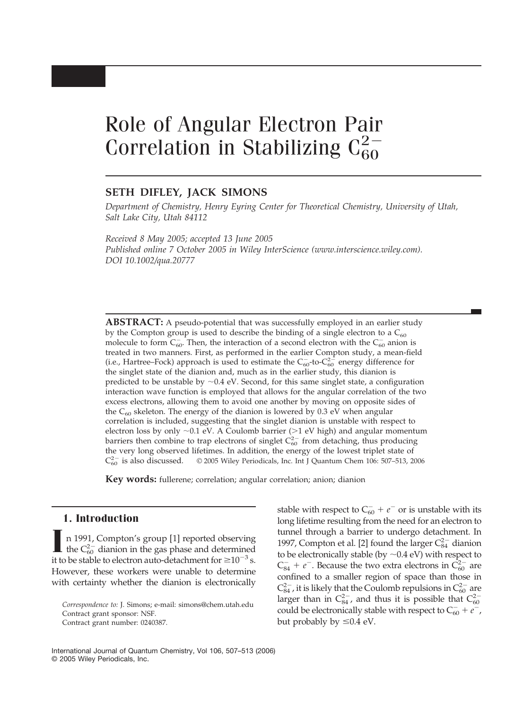# Role of Angular Electron Pair Correlation in Stabilizing  $C_{60}^{2-}$

## **SETH DIFLEY, JACK SIMONS**

*Department of Chemistry, Henry Eyring Center for Theoretical Chemistry, University of Utah, Salt Lake City, Utah 84112*

*Received 8 May 2005; accepted 13 June 2005 Published online 7 October 2005 in Wiley InterScience (www.interscience.wiley.com). DOI 10.1002/qua.20777*

**ABSTRACT:** A pseudo-potential that was successfully employed in an earlier study by the Compton group is used to describe the binding of a single electron to a  $C_{60}$ molecule to form  $C_{60}^-$ . Then, the interaction of a second electron with the  $C_{60}^-$  anion is treated in two manners. First, as performed in the earlier Compton study, a mean-field (i.e., Hartree–Fock) approach is used to estimate the  $C_{60}^-$ -to- $C_{60}^{2-}$  energy difference for the singlet state of the dianion and, much as in the earlier study, this dianion is predicted to be unstable by  $\sim$  0.4 eV. Second, for this same singlet state, a configuration interaction wave function is employed that allows for the angular correlation of the two excess electrons, allowing them to avoid one another by moving on opposite sides of the  $C_{60}$  skeleton. The energy of the dianion is lowered by 0.3 eV when angular correlation is included, suggesting that the singlet dianion is unstable with respect to electron loss by only  $\sim$ 0.1 eV. A Coulomb barrier (>1 eV high) and angular momentum barriers then combine to trap electrons of singlet  $C_{60}^{2-}$  from detaching, thus producing the very long observed lifetimes. In addition, the energy of the lowest triplet state of  $C_{60}^{2-}$  is also discussed. © 2005 Wiley Periodicals, Inc. Int J Quantum Chem 106: 507-513, 2006

**Key words:** fullerene; correlation; angular correlation; anion; dianion

## **1. Introduction**

**I** n 1991, Compton's group [1] reported observing the  $C_{60}^{2-}$  dianion in the gas phase and determined it to be stable to electron auto-detachment for  $\geq 10^{-3}$  s. However, these workers were unable to determine with certainty whether the dianion is electronically

stable with respect to  $C_{60}^- + e^-$  or is unstable with its long lifetime resulting from the need for an electron to tunnel through a barrier to undergo detachment. In 1997, Compton et al. [2] found the larger  $C_{84}^{2-}$  dianion to be electronically stable (by  ${\sim}0.4$  eV) with respect to  $C_{84}^- + e^-$ . Because the two extra electrons in  $\tilde{C}_{60}^{2-}$  are confined to a smaller region of space than those in  $C_{84}^{2-}$ , it is likely that the Coulomb repulsions in  $C_{60}^{2-}$  are larger than in  $C_{84}^{2-}$ , and thus it is possible that  $C_{60}^{2-}$ could be electronically stable with respect to  $C_{60}^- + e^-$ , but probably by  $\leq 0.4$  eV.

International Journal of Quantum Chemistry, Vol 106, 507–513 (2006) © 2005 Wiley Periodicals, Inc.

*Correspondence to:* J. Simons; e-mail: simons@chem.utah.edu Contract grant sponsor: NSF. Contract grant number: 0240387.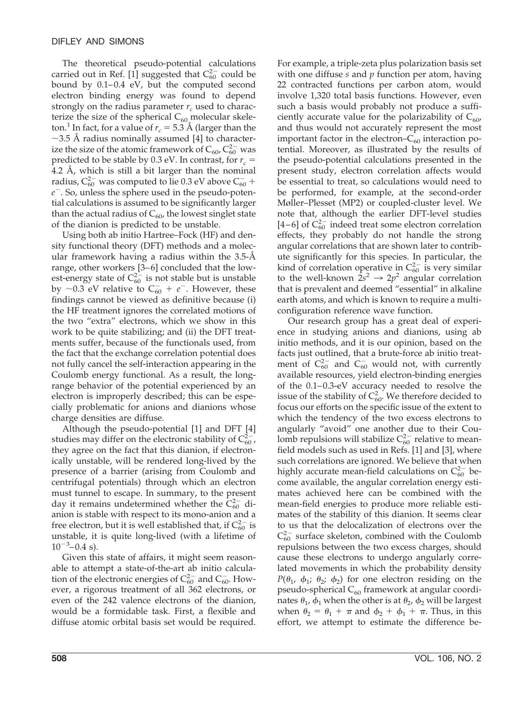The theoretical pseudo-potential calculations carried out in Ref. [1] suggested that  $C_{60}^{2-}$  could be bound by  $0.1-0.4$  eV, but the computed second electron binding energy was found to depend strongly on the radius parameter  $r_c$  used to characterize the size of the spherical  $C_{60}$  molecular skeleton.<sup>1</sup> In fact, for a value of  $r_c = 5.3$  Å (larger than the  $\sim$ 3.5 Å radius nominally assumed [4] to characterize the size of the atomic framework of  $C_{60}$ ,  $C_{60}^{2-}$  was predicted to be stable by 0.3 eV. In contrast, for  $r_c$  = 4.2 Å, which is still a bit larger than the nominal radius,  $C_{60}^{2-}$  was computed to lie 0.3 eV above  $C_{60}^-$  + *e* . So, unless the sphere used in the pseudo-potential calculations is assumed to be significantly larger than the actual radius of  $C_{60}$ , the lowest singlet state of the dianion is predicted to be unstable.

Using both ab initio Hartree–Fock (HF) and density functional theory (DFT) methods and a molecular framework having a radius within the 3.5-Å range, other workers [3-6] concluded that the lowest-energy state of  $C_{60}^{2-}$  is not stable but is unstable by  $\sim$ 0.3 eV relative to C<sub>60</sub> + e<sup>-</sup>. However, these findings cannot be viewed as definitive because (i) the HF treatment ignores the correlated motions of the two "extra" electrons, which we show in this work to be quite stabilizing; and (ii) the DFT treatments suffer, because of the functionals used, from the fact that the exchange correlation potential does not fully cancel the self-interaction appearing in the Coulomb energy functional. As a result, the longrange behavior of the potential experienced by an electron is improperly described; this can be especially problematic for anions and dianions whose charge densities are diffuse.

Although the pseudo-potential [1] and DFT [4] studies may differ on the electronic stability of  $C_{60}^{2}$ , they agree on the fact that this dianion, if electronically unstable, will be rendered long-lived by the presence of a barrier (arising from Coulomb and centrifugal potentials) through which an electron must tunnel to escape. In summary, to the present day it remains undetermined whether the  $\tilde{C}_{60}^{2-}$  dianion is stable with respect to its mono-anion and a free electron, but it is well established that, if  $C_{60}^{2-}$  is unstable, it is quite long-lived (with a lifetime of  $10^{-3}$ –0.4 s).

Given this state of affairs, it might seem reasonable to attempt a state-of-the-art ab initio calculation of the electronic energies of  $C_{60}^{2-}$  and  $C_{60}^-$ . However, a rigorous treatment of all 362 electrons, or even of the 242 valence electrons of the dianion, would be a formidable task. First, a flexible and diffuse atomic orbital basis set would be required.

For example, a triple-zeta plus polarization basis set with one diffuse *s* and *p* function per atom, having 22 contracted functions per carbon atom, would involve 1,320 total basis functions. However, even such a basis would probably not produce a sufficiently accurate value for the polarizability of  $C_{60}$ , and thus would not accurately represent the most important factor in the electron– $C_{60}$  interaction potential. Moreover, as illustrated by the results of the pseudo-potential calculations presented in the present study, electron correlation affects would be essential to treat, so calculations would need to be performed, for example, at the second-order Møller–Plesset (MP2) or coupled-cluster level. We note that, although the earlier DFT-level studies [4–6] of  $C_{60}^{2-}$  indeed treat some electron correlation effects, they probably do not handle the strong angular correlations that are shown later to contribute significantly for this species. In particular, the kind of correlation operative in  $C_{60}^{2-}$  is very similar to the well-known  $2s^2 \rightarrow 2p^2$  angular correlation that is prevalent and deemed "essential" in alkaline earth atoms, and which is known to require a multiconfiguration reference wave function.

Our research group has a great deal of experience in studying anions and dianions, using ab initio methods, and it is our opinion, based on the facts just outlined, that a brute-force ab initio treatment of  $C_{60}^{2-}$  and  $C_{60}^{-}$  would not, with currently available resources, yield electron-binding energies of the 0.1-0.3-eV accuracy needed to resolve the issue of the stability of  $C_{60}^2$ . We therefore decided to focus our efforts on the specific issue of the extent to which the tendency of the two excess electrons to angularly "avoid" one another due to their Coulomb repulsions will stabilize  $C_{60}^{2-}$  relative to meanfield models such as used in Refs. [1] and [3], where such correlations are ignored. We believe that when highly accurate mean-field calculations on  $C_{60}^{2-}$  become available, the angular correlation energy estimates achieved here can be combined with the mean-field energies to produce more reliable estimates of the stability of this dianion. It seems clear to us that the delocalization of electrons over the  $C_{60}^{2-}$  surface skeleton, combined with the Coulomb repulsions between the two excess charges, should cause these electrons to undergo angularly correlated movements in which the probability density *P*( $\theta_1$ ,  $\phi_1$ ;  $\theta_2$ ;  $\phi_2$ ) for one electron residing on the pseudo-spherical  $C_{60}$  framework at angular coordinates  $\theta_1$ ,  $\phi_1$  when the other is at  $\theta_2$ ,  $\phi_2$  will be largest when  $\theta_2 = \theta_1 + \pi$  and  $\phi_2 + \phi_1 + \pi$ . Thus, in this effort, we attempt to estimate the difference be-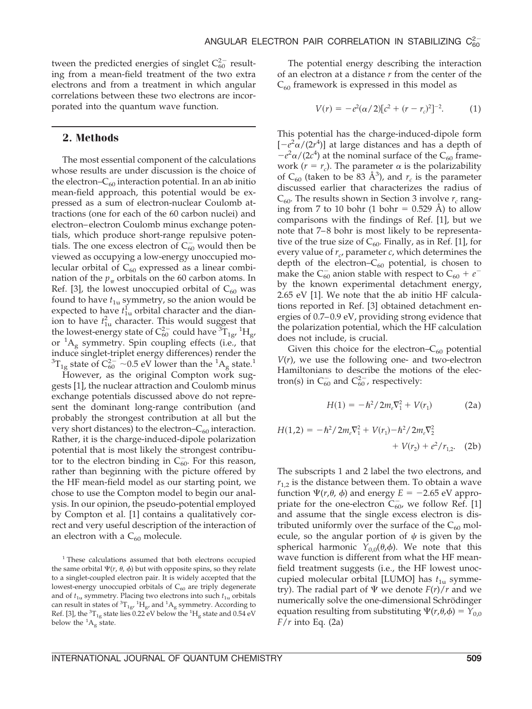tween the predicted energies of singlet  $C_{60}^{2-}$  resulting from a mean-field treatment of the two extra electrons and from a treatment in which angular correlations between these two electrons are incorporated into the quantum wave function.

#### **2. Methods**

The most essential component of the calculations whose results are under discussion is the choice of the electron– $C_{60}$  interaction potential. In an ab initio mean-field approach, this potential would be expressed as a sum of electron-nuclear Coulomb attractions (one for each of the 60 carbon nuclei) and electron– electron Coulomb minus exchange potentials, which produce short-range repulsive potentials. The one excess electron of  $C_{60}^-$  would then be viewed as occupying a low-energy unoccupied molecular orbital of  $C_{60}$  expressed as a linear combination of the  $p_{\pi}$  orbitals on the 60 carbon atoms. In Ref. [3], the lowest unoccupied orbital of  $C_{60}$  was found to have  $t_{1u}$  symmetry, so the anion would be expected to have  $t_{1u}$  orbital character and the dianion to have  $t<sub>1u</sub><sup>2</sup>$  character. This would suggest that the lowest-energy state of  $C_{60}^{2-}$  could have  $\widetilde{C}_{1g}^{1}$ ,  ${}^{1}H_{g}$ or  ${}^{1}A_{g}$  symmetry. Spin coupling effects (i.e., that induce singlet-triplet energy differences) render the  ${}^{3}T_{1g}$  state of  $C_{60}^{2-}$  ~0.5 eV lower than the  ${}^{1}A_{g}$  state.<sup>1</sup>

However, as the original Compton work suggests [1], the nuclear attraction and Coulomb minus exchange potentials discussed above do not represent the dominant long-range contribution (and probably the strongest contribution at all but the very short distances) to the electron– $C_{60}$  interaction. Rather, it is the charge-induced-dipole polarization potential that is most likely the strongest contribufor to the electron binding in  $C_{60}^-$ . For this reason, rather than beginning with the picture offered by the HF mean-field model as our starting point, we chose to use the Compton model to begin our analysis. In our opinion, the pseudo-potential employed by Compton et al. [1] contains a qualitatively correct and very useful description of the interaction of an electron with a  $C_{60}$  molecule.

The potential energy describing the interaction of an electron at a distance *r* from the center of the  $C_{60}$  framework is expressed in this model as

$$
V(r) = -e^2(\alpha/2)[c^2 + (r - r_c)^2]^{-2}.
$$
 (1)

This potential has the charge-induced-dipole form  $[-e^2\alpha/(2r^4)]$  at large distances and has a depth of  $-e^2\alpha/(2c^4)$  at the nominal surface of the C<sub>60</sub> framework ( $r = r_c$ ). The parameter  $\alpha$  is the polarizability of  $C_{60}$  (taken to be 83 Å<sup>3</sup>), and  $r_c$  is the parameter discussed earlier that characterizes the radius of  $C_{60}$ . The results shown in Section 3 involve  $r_c$  ranging from 7 to 10 bohr (1 bohr  $= 0.529$  Å) to allow comparisons with the findings of Ref. [1], but we note that 7–8 bohr is most likely to be representative of the true size of  $C_{60}$ . Finally, as in Ref. [1], for every value of  $r_c$ , parameter  $c$ , which determines the depth of the electron– $C_{60}$  potential, is chosen to make the  $C_{60}^-$  anion stable with respect to  $C_{60} + e^$ by the known experimental detachment energy, 2.65 eV [1]. We note that the ab initio HF calculations reported in Ref. [3] obtained detachment energies of 0.7– 0.9 eV, providing strong evidence that the polarization potential, which the HF calculation does not include, is crucial.

Given this choice for the electron– $C_{60}$  potential  $V(r)$ , we use the following one- and two-electron Hamiltonians to describe the motions of the electron(s) in  $C_{60}^-$  and  $C_{60}^{2-}$ , respectively:

$$
H(1) = -\hbar^2 / 2m_e \nabla_1^2 + V(r_1)
$$
 (2a)

$$
H(1,2) = -\hbar^2/2m_e \nabla_1^2 + V(r_1) - \hbar^2/2m_e \nabla_2^2
$$
  
+  $V(r_2) + e^2/r_{1,2}$ . (2b)

The subscripts 1 and 2 label the two electrons, and  $r_{1,2}$  is the distance between them. To obtain a wave function  $\Psi(r,\theta, \phi)$  and energy  $E = -2.65$  eV appropriate for the one-electron  $\widetilde{C}_{60}$ , we follow Ref. [1] and assume that the single excess electron is distributed uniformly over the surface of the  $C_{60}$  molecule, so the angular portion of  $\psi$  is given by the spherical harmonic  $Y_{0,0}(\theta,\phi)$ . We note that this wave function is different from what the HF meanfield treatment suggests (i.e., the HF lowest unoccupied molecular orbital [LUMO] has  $t_{1u}$  symmetry). The radial part of  $\Psi$  we denote  $F(r)/r$  and we numerically solve the one-dimensional Schrödinger equation resulting from substituting  $\Psi(r,\theta,\phi) = Y_{0,0}$ *F*/*r* into Eq. (2a)

<sup>&</sup>lt;sup>1</sup> These calculations assumed that both electrons occupied the same orbital  $\Psi(r, \theta, \phi)$  but with opposite spins, so they relate to a singlet-coupled electron pair. It is widely accepted that the lowest-energy unoccupied orbitals of  $C_{60}$  are triply degenerate and of  $t_{1u}$  symmetry. Placing two electrons into such  $t_{1u}$  orbitals can result in states of  ${}^{3}T_{1g'}$   ${}^{1}H_{g'}$  and  ${}^{1}A_g$  symmetry. According to Ref. [3], the  ${}^{3}T_{1g}$  state lies 0.22 eV below the  ${}^{1}H_{g}$  state and 0.54 eV below the  ${}^{1}A_{g}$  state.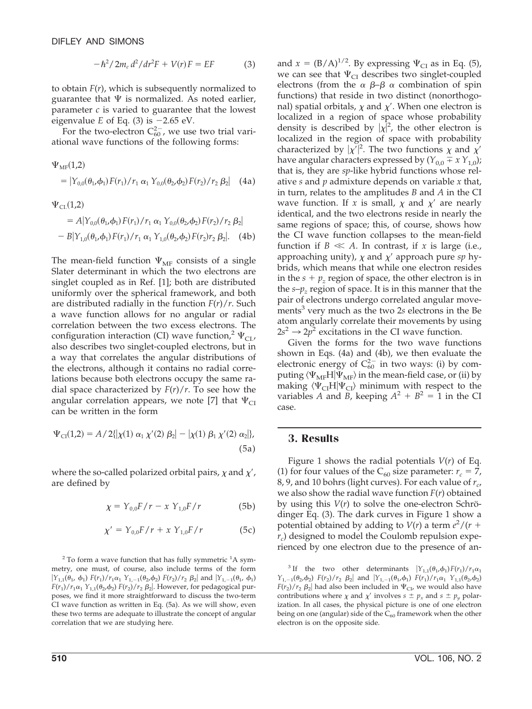$$
-\hbar^2/2m_e d^2/dr^2 F + V(r)F = EF
$$
 (3)

to obtain *F*(*r*), which is subsequently normalized to guarantee that  $\Psi$  is normalized. As noted earlier, parameter *c* is varied to guarantee that the lowest eigenvalue  $E$  of Eq. (3) is  $-2.65$  eV.

For the two-electron  $C_{60}^{2-}$ , we use two trial variational wave functions of the following forms:

$$
\Psi_{\text{MF}}(1,2)
$$
\n=  $|Y_{0,0}(\theta_1, \phi_1) F(r_1)/r_1 \alpha_1 Y_{0,0}(\theta_2, \phi_2) F(r_2)/r_2 \beta_2|$  (4a)  
\n
$$
\Psi_{\text{CL}}(1,2)
$$
\n=  $A|Y_{0,0}(\theta_1, \phi_1) F(r_1)/r_1 \alpha_1 Y_{0,0}(\theta_2, \phi_2) F(r_2)/r_2 \beta_2|$ 

 $-B|Y_{1,0}(\theta_1,\phi_1) F(r_1)/r_1 \alpha_1 Y_{1,0}(\theta_2,\phi_2) F(r_2)r_2 \beta_2$ . (4b)

The mean-field function  $\Psi_{MF}$  consists of a single Slater determinant in which the two electrons are singlet coupled as in Ref. [1]; both are distributed uniformly over the spherical framework, and both are distributed radially in the function *F*(*r*)/*r*. Such a wave function allows for no angular or radial correlation between the two excess electrons. The configuration interaction (CI) wave function,<sup>2</sup>  $\Psi$ <sub>CI</sub>, also describes two singlet-coupled electrons, but in a way that correlates the angular distributions of the electrons, although it contains no radial correlations because both electrons occupy the same radial space characterized by  $F(r)/r$ . To see how the angular correlation appears, we note [7] that  $\Psi_{CI}$ can be written in the form

$$
\Psi_{\text{CI}}(1,2) = A / 2\{ |\chi(1) \alpha_1 \chi'(2) \beta_2| - |\chi(1) \beta_1 \chi'(2) \alpha_2| \},\tag{5a}
$$

where the so-called polarized orbital pairs,  $\chi$  and  $\chi'$ , are defined by

$$
\chi = Y_{0,0} F / r - x Y_{1,0} F / r \tag{5b}
$$

$$
\chi' = Y_{0,0} F / r + x Y_{1,0} F / r \tag{5c}
$$

 $2$  To form a wave function that has fully symmetric  $1A$  symmetry, one must, of course, also include terms of the form  $|Y_{1,1}(\theta_1, \phi_1) F(r_1)/r_1\alpha_1 Y_{1,-1}(\theta_2, \phi_2) F(r_2)/r_2 \beta_2|$  and  $|Y_{1,-1}(\theta_1, \phi_1)|$  $F(r_1)/r_1\alpha_1$   $Y_{1,1}(\theta_2,\phi_2)$   $F(r_2)/r_2$   $\beta_2$ . However, for pedagogical purposes, we find it more straightforward to discuss the two-term CI wave function as written in Eq. (5a). As we will show, even these two terms are adequate to illustrate the concept of angular correlation that we are studying here.

and  $x = (B/A)^{1/2}$ . By expressing  $\Psi_{CI}$  as in Eq. (5), we can see that  $\Psi_{CI}$  describes two singlet-coupled electrons (from the  $\alpha$   $\beta-\beta$   $\alpha$  combination of spin functions) that reside in two distinct (nonorthogonal) spatial orbitals,  $\chi$  and  $\chi'$ . When one electron is localized in a region of space whose probability density is described by  $|\chi|^2$ , the other electron is localized in the region of space with probability characterized by  $|\chi'|^2$ . The two functions  $\chi$  and  $\chi'$ have angular characters expressed by  $(Y_{0,0} \mp x Y_{1,0})$ ; that is, they are *sp*-like hybrid functions whose relative *s* and *p* admixture depends on variable *x* that, in turn, relates to the amplitudes *B* and *A* in the CI wave function. If x is small,  $\chi$  and  $\chi'$  are nearly identical, and the two electrons reside in nearly the same regions of space; this, of course, shows how the CI wave function collapses to the mean-field function if  $B \ll A$ . In contrast, if *x* is large (i.e., approaching unity),  $\chi$  and  $\chi'$  approach pure sp hybrids, which means that while one electron resides in the  $s + p<sub>z</sub>$  region of space, the other electron is in the  $s-p_z$  region of space. It is in this manner that the pair of electrons undergo correlated angular movements<sup>3</sup> very much as the two 2*s* electrons in the Be atom angularly correlate their movements by using  $2s^2 \rightarrow 2p^2$  excitations in the CI wave function.

Given the forms for the two wave functions shown in Eqs. (4a) and (4b), we then evaluate the electronic energy of  $C_{60}^{2-}$  in two ways: (i) by computing  $\langle \Psi_{MF}H|\Psi_{MF}\rangle$  in the mean-field case, or (ii) by making  $\langle \Psi_{CI} H | \Psi_{CI} \rangle$  minimum with respect to the variables *A* and *B*, keeping  $A^2 + B^2 = 1$  in the CI case.

#### **3. Results**

Figure 1 shows the radial potentials *V*(*r*) of Eq. (1) for four values of the  $C_{60}$  size parameter:  $r_c = 7$ , 8, 9, and 10 bohrs (light curves). For each value of  $r_c$ , we also show the radial wave function *F*(*r*) obtained by using this  $V(r)$  to solve the one-electron Schrödinger Eq. (3). The dark curves in Figure 1 show a potential obtained by adding to  $V(r)$  a term  $e^2/(r +$  $r_c$ ) designed to model the Coulomb repulsion experienced by one electron due to the presence of an-

<sup>3</sup> If the two other determinants  $Y_{1,1}(\theta_1,\phi_1)F(r_1)/r_1\alpha_1$ *Y*<sub>1,-1</sub>( $\theta_2$ , $\phi_2$ ) *F*( $r_2$ )/ $r_2$   $\beta_2$  and  $|Y_{1,-1}(\theta_1,\phi_1)|$  *F*( $r_1$ )/ $r_1\alpha_1$  *Y*<sub>1,1</sub>( $\theta_2$ , $\phi_2$ )  $F(r_2)/r_2$   $\beta_2$  had also been included in  $\Psi_{CI}$ , we would also have contributions where  $\chi$  and  $\chi'$  involves  $s \pm p_x$  and  $s \pm p_y$  polarization. In all cases, the physical picture is one of one electron being on one (angular) side of the  $C_{60}$  framework when the other electron is on the opposite side.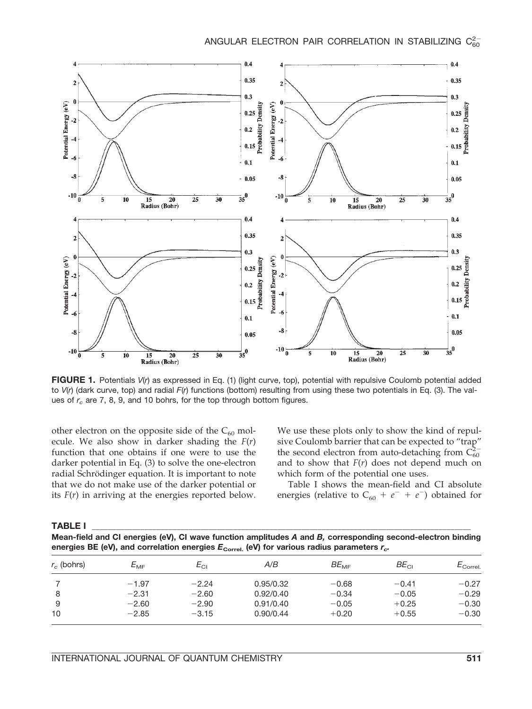

**FIGURE 1.** Potentials *V*(*r*) as expressed in Eq. (1) (light curve, top), potential with repulsive Coulomb potential added to *V*(*r*) (dark curve, top) and radial *F*(*r*) functions (bottom) resulting from using these two potentials in Eq. (3). The values of  $r_c$  are 7, 8, 9, and 10 bohrs, for the top through bottom figures.

other electron on the opposite side of the  $C_{60}$  molecule. We also show in darker shading the *F*(*r*) function that one obtains if one were to use the darker potential in Eq. (3) to solve the one-electron radial Schrödinger equation. It is important to note that we do not make use of the darker potential or its  $F(r)$  in arriving at the energies reported below. We use these plots only to show the kind of repulsive Coulomb barrier that can be expected to "trap" the second electron from auto-detaching from  $\tilde{C}_{60}^{2-}$ and to show that *F*(*r*) does not depend much on which form of the potential one uses.

Table I shows the mean-field and CI absolute energies (relative to  $C_{60} + e^- + e^-$ ) obtained for

|--|

**Mean-field and CI energies (eV), CI wave function amplitudes** *A* **and** *B,* **corresponding second-electron binding** energies BE (eV), and correlation energies  $E_{\text{correl.}}$  (eV) for various radius parameters  $r_{c}$ .

| $r_c$ (bohrs) | $E_{\rm MF}$ | $E_{\rm CI}$ | A/B       | $BE_{\text{ME}}$ | $BE_{Cl}$ | $E_{\rm Correl.}$ |
|---------------|--------------|--------------|-----------|------------------|-----------|-------------------|
|               | $-1.97$      | $-2.24$      | 0.95/0.32 | $-0.68$          | $-0.41$   | $-0.27$           |
| 8             | $-2.31$      | $-2.60$      | 0.92/0.40 | $-0.34$          | $-0.05$   | $-0.29$           |
| 9             | $-2.60$      | $-2.90$      | 0.91/0.40 | $-0.05$          | $+0.25$   | $-0.30$           |
| 10            | $-2.85$      | $-3.15$      | 0.90/0.44 | $+0.20$          | $+0.55$   | $-0.30$           |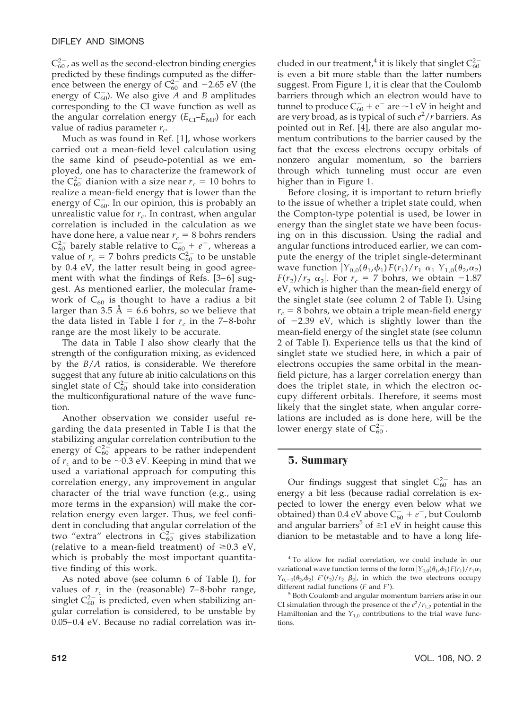$C_{60}^{2-}$ , as well as the second-electron binding energies predicted by these findings computed as the difference between the energy of  $C_{60}^{2-}$  and  $-2.65$  eV (the energy of  $C_{60}^-$ ). We also give  $\overline{A}$  and  $\overline{B}$  amplitudes corresponding to the CI wave function as well as the angular correlation energy  $(E_{CI} - E_{MF})$  for each value of radius parameter  $r_c$ .

Much as was found in Ref. [1], whose workers carried out a mean-field level calculation using the same kind of pseudo-potential as we employed, one has to characterize the framework of the  $C_{60}^{2-}$  dianion with a size near  $r_c = 10$  bohrs to realize a mean-field energy that is lower than the energy of  $C_{60}^-$ . In our opinion, this is probably an unrealistic value for  $r_c$ . In contrast, when angular correlation is included in the calculation as we have done here, a value near  $r_c = 8$  bohrs renders  $C_{60}^{2-}$  barely stable relative to  $\tilde{C}_{60}^{-}+e^-$ , whereas a value of  $r_c = 7$  bohrs predicts  $\widetilde{C}_{60}^{2-}$  to be unstable by 0.4 eV, the latter result being in good agreement with what the findings of Refs.  $[3-6]$  suggest. As mentioned earlier, the molecular framework of  $C_{60}$  is thought to have a radius a bit larger than 3.5 Å = 6.6 bohrs, so we believe that the data listed in Table I for  $r_c$  in the 7–8-bohr range are the most likely to be accurate.

The data in Table I also show clearly that the strength of the configuration mixing, as evidenced by the *B*/*A* ratios, is considerable. We therefore suggest that any future ab initio calculations on this singlet state of  $C_{60}^{2-}$  should take into consideration the multiconfigurational nature of the wave function.

Another observation we consider useful regarding the data presented in Table I is that the stabilizing angular correlation contribution to the energy of  $C_{60}^{2}$  appears to be rather independent of  $r_c$  and to be  $\sim$ 0.3 eV. Keeping in mind that we used a variational approach for computing this correlation energy, any improvement in angular character of the trial wave function (e.g., using more terms in the expansion) will make the correlation energy even larger. Thus, we feel confident in concluding that angular correlation of the two "extra" electrons in  $\check{C}_{60}^{2-}$  gives stabilization (relative to a mean-field treatment) of  $\geq 0.3$  eV, which is probably the most important quantitative finding of this work.

As noted above (see column 6 of Table I), for values of  $r_c$  in the (reasonable) 7–8-bohr range, singlet  $C_{60}^{2-}$  is predicted, even when stabilizing angular correlation is considered, to be unstable by 0.05– 0.4 eV. Because no radial correlation was in-

cluded in our treatment,<sup>4</sup> it is likely that singlet  $C_{60}^{2-}$ is even a bit more stable than the latter numbers suggest. From Figure 1, it is clear that the Coulomb barriers through which an electron would have to tunnel to produce  $C_{60}^- + e^-$  are  $\sim$ 1 eV in height and are very broad, as is typical of such *e* 2 /*r* barriers. As pointed out in Ref. [4], there are also angular momentum contributions to the barrier caused by the fact that the excess electrons occupy orbitals of nonzero angular momentum, so the barriers through which tunneling must occur are even higher than in Figure 1.

Before closing, it is important to return briefly to the issue of whether a triplet state could, when the Compton-type potential is used, be lower in energy than the singlet state we have been focusing on in this discussion. Using the radial and angular functions introduced earlier, we can compute the energy of the triplet single-determinant wave function  $Y_{0,0}(\theta_1,\phi_1) F(r_1)/r_1 \alpha_1 Y_{1,0}(\theta_2,\alpha_2)$  $F(r_2)/r_2 \alpha_2$ . For  $r_c = 7$  bohrs, we obtain -1.87 eV, which is higher than the mean-field energy of the singlet state (see column 2 of Table I). Using  $r_c$  = 8 bohrs, we obtain a triple mean-field energy of  $-2.39$  eV, which is slightly lower than the mean-field energy of the singlet state (see column 2 of Table I). Experience tells us that the kind of singlet state we studied here, in which a pair of electrons occupies the same orbital in the meanfield picture, has a larger correlation energy than does the triplet state, in which the electron occupy different orbitals. Therefore, it seems most likely that the singlet state, when angular correlations are included as is done here, will be the lower energy state of  $C_{60}^{2-}$ .

# **5. Summary**

Our findings suggest that singlet  $C_{60}^{2-}$  has an energy a bit less (because radial correlation is expected to lower the energy even below what we obtained) than 0.4 eV above  $C_{60}^- + e^-$ , but Coulomb and angular barriers<sup>5</sup> of  $\geq$ 1 eV in height cause this dianion to be metastable and to have a long life-

<sup>4</sup> To allow for radial correlation, we could include in our variational wave function terms of the form  $|Y_{0,0}(\theta_1,\phi_1)F(r_1)/r_1\alpha_1|$  $Y_{0,-0}(\theta_2,\phi_2)$  *F*'( $r_2$ )/ $r_2$   $\beta_2$ , in which the two electrons occupy different radial functions (*F* and *F* ).

<sup>5</sup> Both Coulomb and angular momentum barriers arise in our CI simulation through the presence of the  $e^2/r_{1,2}$  potential in the Hamiltonian and the  $Y_{1,0}$  contributions to the trial wave functions.